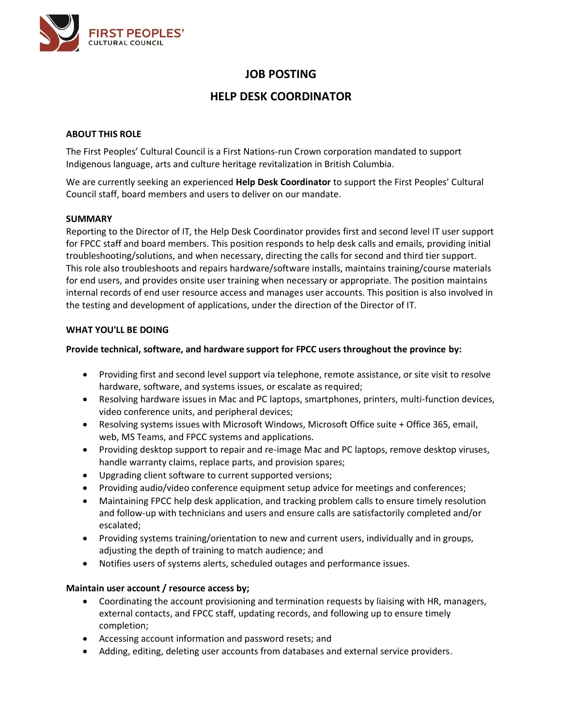

# **JOB POSTING**

# **HELP DESK COORDINATOR**

# **ABOUT THIS ROLE**

The First Peoples' Cultural Council is a First Nations-run Crown corporation mandated to support Indigenous language, arts and culture heritage revitalization in British Columbia.

We are currently seeking an experienced **Help Desk Coordinator** to support the First Peoples' Cultural Council staff, board members and users to deliver on our mandate.

# **SUMMARY**

Reporting to the Director of IT, the Help Desk Coordinator provides first and second level IT user support for FPCC staff and board members. This position responds to help desk calls and emails, providing initial troubleshooting/solutions, and when necessary, directing the calls for second and third tier support. This role also troubleshoots and repairs hardware/software installs, maintains training/course materials for end users, and provides onsite user training when necessary or appropriate. The position maintains internal records of end user resource access and manages user accounts. This position is also involved in the testing and development of applications, under the direction of the Director of IT.

# **WHAT YOU'LL BE DOING**

# **Provide technical, software, and hardware support for FPCC users throughout the province by:**

- Providing first and second level support via telephone, remote assistance, or site visit to resolve hardware, software, and systems issues, or escalate as required;
- Resolving hardware issues in Mac and PC laptops, smartphones, printers, multi-function devices, video conference units, and peripheral devices;
- Resolving systems issues with Microsoft Windows, Microsoft Office suite + Office 365, email, web, MS Teams, and FPCC systems and applications.
- Providing desktop support to repair and re-image Mac and PC laptops, remove desktop viruses, handle warranty claims, replace parts, and provision spares;
- Upgrading client software to current supported versions;
- Providing audio/video conference equipment setup advice for meetings and conferences;
- Maintaining FPCC help desk application, and tracking problem calls to ensure timely resolution and follow-up with technicians and users and ensure calls are satisfactorily completed and/or escalated;
- Providing systems training/orientation to new and current users, individually and in groups, adjusting the depth of training to match audience; and
- Notifies users of systems alerts, scheduled outages and performance issues.

# **Maintain user account / resource access by;**

- Coordinating the account provisioning and termination requests by liaising with HR, managers, external contacts, and FPCC staff, updating records, and following up to ensure timely completion;
- Accessing account information and password resets; and
- Adding, editing, deleting user accounts from databases and external service providers.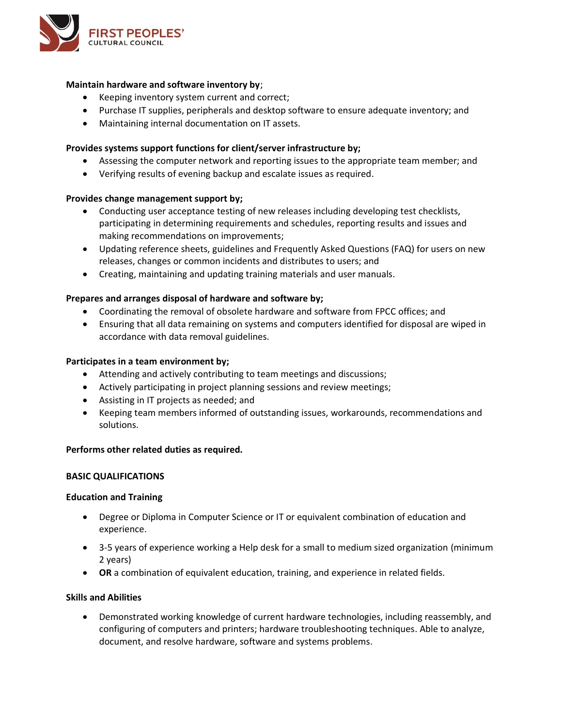

## **Maintain hardware and software inventory by**;

- Keeping inventory system current and correct;
- Purchase IT supplies, peripherals and desktop software to ensure adequate inventory; and
- Maintaining internal documentation on IT assets.

# **Provides systems support functions for client/server infrastructure by;**

- Assessing the computer network and reporting issues to the appropriate team member; and
- Verifying results of evening backup and escalate issues as required.

## **Provides change management support by;**

- Conducting user acceptance testing of new releases including developing test checklists, participating in determining requirements and schedules, reporting results and issues and making recommendations on improvements;
- Updating reference sheets, guidelines and Frequently Asked Questions (FAQ) for users on new releases, changes or common incidents and distributes to users; and
- Creating, maintaining and updating training materials and user manuals.

## **Prepares and arranges disposal of hardware and software by;**

- Coordinating the removal of obsolete hardware and software from FPCC offices; and
- Ensuring that all data remaining on systems and computers identified for disposal are wiped in accordance with data removal guidelines.

## **Participates in a team environment by;**

- Attending and actively contributing to team meetings and discussions;
- Actively participating in project planning sessions and review meetings;
- Assisting in IT projects as needed; and
- Keeping team members informed of outstanding issues, workarounds, recommendations and solutions.

#### **Performs other related duties as required.**

#### **BASIC QUALIFICATIONS**

#### **Education and Training**

- Degree or Diploma in Computer Science or IT or equivalent combination of education and experience.
- 3-5 years of experience working a Help desk for a small to medium sized organization (minimum 2 years)
- **OR** a combination of equivalent education, training, and experience in related fields.

#### **Skills and Abilities**

• Demonstrated working knowledge of current hardware technologies, including reassembly, and configuring of computers and printers; hardware troubleshooting techniques. Able to analyze, document, and resolve hardware, software and systems problems.